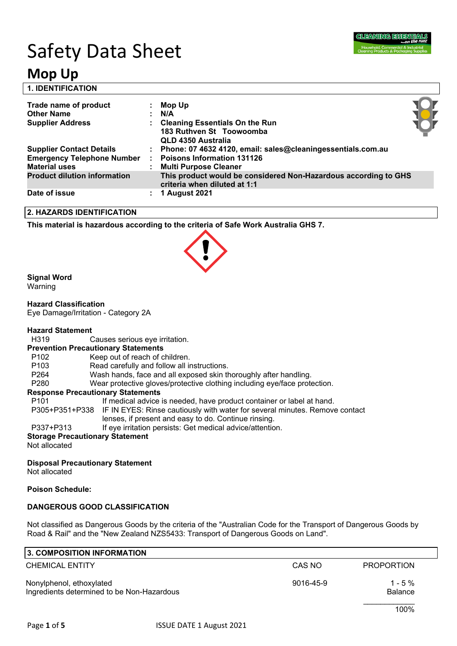

# Safety Data Sheet

## **Mop Up**

| <b>1. IDENTIFICATION</b>                                  |   |                                                                                                 |  |
|-----------------------------------------------------------|---|-------------------------------------------------------------------------------------------------|--|
| Trade name of product                                     |   | Mop Up                                                                                          |  |
| <b>Other Name</b>                                         |   | $\mathsf{N}/\mathsf{A}$                                                                         |  |
| <b>Supplier Address</b>                                   |   | <b>Cleaning Essentials On the Run</b><br>183 Ruthven St Toowoomba<br>QLD 4350 Australia         |  |
| <b>Supplier Contact Details</b>                           |   | Phone: 07 4632 4120, email: sales@cleaningessentials.com.au                                     |  |
| <b>Emergency Telephone Number</b><br><b>Material uses</b> |   | <b>Poisons Information 131126</b><br><b>Multi Purpose Cleaner</b>                               |  |
| <b>Product dilution information</b>                       |   | This product would be considered Non-Hazardous according to GHS<br>criteria when diluted at 1:1 |  |
| Date of issue                                             | ÷ | <b>1 August 2021</b>                                                                            |  |

### **2. HAZARDS IDENTIFICATION**

**This material is hazardous according to the criteria of Safe Work Australia GHS 7.**

### **Signal Word**

Warning

### **Hazard Classification**

Eye Damage/Irritation - Category 2A

### **Hazard Statement**

H319 Causes serious eye irritation.

### **Prevention Precautionary Statements**

- P102 Keep out of reach of children.
- P103 Read carefully and follow all instructions.
- P264 Wash hands, face and all exposed skin thoroughly after handling.
- P280 Wear protective gloves/protective clothing including eye/face protection.

### **Response Precautionary Statements**

- P101 If medical advice is needed, have product container or label at hand.
- P305+P351+P338 IF IN EYES: Rinse cautiously with water for several minutes. Remove contact
	- lenses, if present and easy to do. Continue rinsing.
- P337+P313 If eye irritation persists: Get medical advice/attention.

### **Storage Precautionary Statement**

Not allocated

### **Disposal Precautionary Statement**

Not allocated

### **Poison Schedule:**

### **DANGEROUS GOOD CLASSIFICATION**

Not classified as Dangerous Goods by the criteria of the "Australian Code for the Transport of Dangerous Goods by Road & Rail" and the "New Zealand NZS5433: Transport of Dangerous Goods on Land".

| 3. COMPOSITION INFORMATION                                             |                 |                              |  |
|------------------------------------------------------------------------|-----------------|------------------------------|--|
| <b>CHEMICAL ENTITY</b>                                                 | CAS NO          | <b>PROPORTION</b>            |  |
| Nonylphenol, ethoxylated<br>Ingredients determined to be Non-Hazardous | $9016 - 45 - 9$ | $1 - 5 \%$<br><b>Balance</b> |  |
|                                                                        |                 | 100%                         |  |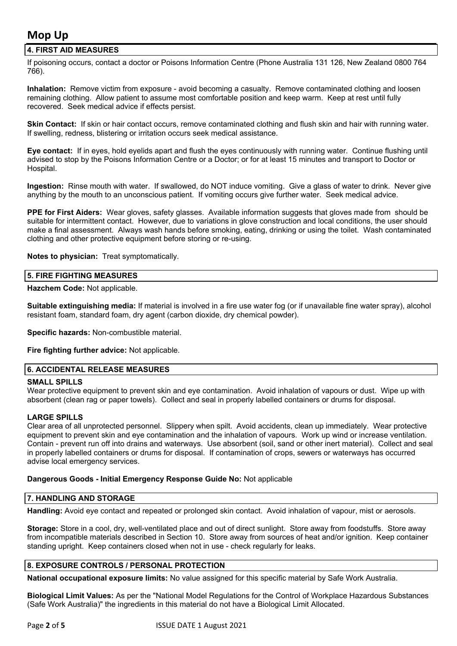### **4. FIRST AID MEASURES**

If poisoning occurs, contact a doctor or Poisons Information Centre (Phone Australia 131 126, New Zealand 0800 764 766).

**Inhalation:** Remove victim from exposure - avoid becoming a casualty. Remove contaminated clothing and loosen remaining clothing. Allow patient to assume most comfortable position and keep warm. Keep at rest until fully recovered. Seek medical advice if effects persist.

**Skin Contact:** If skin or hair contact occurs, remove contaminated clothing and flush skin and hair with running water. If swelling, redness, blistering or irritation occurs seek medical assistance.

**Eye contact:** If in eyes, hold eyelids apart and flush the eyes continuously with running water. Continue flushing until advised to stop by the Poisons Information Centre or a Doctor; or for at least 15 minutes and transport to Doctor or Hospital.

**Ingestion:** Rinse mouth with water. If swallowed, do NOT induce vomiting. Give a glass of water to drink. Never give anything by the mouth to an unconscious patient. If vomiting occurs give further water. Seek medical advice.

**PPE for First Aiders:** Wear gloves, safety glasses. Available information suggests that gloves made from should be suitable for intermittent contact. However, due to variations in glove construction and local conditions, the user should make a final assessment. Always wash hands before smoking, eating, drinking or using the toilet. Wash contaminated clothing and other protective equipment before storing or re-using.

**Notes to physician:** Treat symptomatically.

### **5. FIRE FIGHTING MEASURES**

**Hazchem Code:** Not applicable.

**Suitable extinguishing media:** If material is involved in a fire use water fog (or if unavailable fine water spray), alcohol resistant foam, standard foam, dry agent (carbon dioxide, dry chemical powder).

**Specific hazards:** Non-combustible material.

**Fire fighting further advice:** Not applicable.

### **6. ACCIDENTAL RELEASE MEASURES**

### **SMALL SPILLS**

Wear protective equipment to prevent skin and eye contamination. Avoid inhalation of vapours or dust. Wipe up with absorbent (clean rag or paper towels). Collect and seal in properly labelled containers or drums for disposal.

### **LARGE SPILLS**

Clear area of all unprotected personnel. Slippery when spilt. Avoid accidents, clean up immediately. Wear protective equipment to prevent skin and eye contamination and the inhalation of vapours. Work up wind or increase ventilation. Contain - prevent run off into drains and waterways. Use absorbent (soil, sand or other inert material). Collect and seal in properly labelled containers or drums for disposal. If contamination of crops, sewers or waterways has occurred advise local emergency services.

### **Dangerous Goods - Initial Emergency Response Guide No:** Not applicable

### **7. HANDLING AND STORAGE**

**Handling:** Avoid eye contact and repeated or prolonged skin contact. Avoid inhalation of vapour, mist or aerosols.

**Storage:** Store in a cool, dry, well-ventilated place and out of direct sunlight. Store away from foodstuffs. Store away from incompatible materials described in Section 10. Store away from sources of heat and/or ignition. Keep container standing upright. Keep containers closed when not in use - check regularly for leaks.

### **8. EXPOSURE CONTROLS / PERSONAL PROTECTION**

**National occupational exposure limits:** No value assigned for this specific material by Safe Work Australia.

**Biological Limit Values:** As per the "National Model Regulations for the Control of Workplace Hazardous Substances (Safe Work Australia)" the ingredients in this material do not have a Biological Limit Allocated.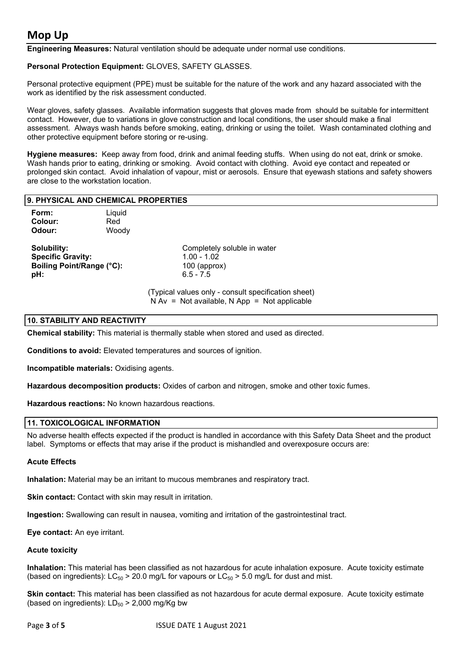**Engineering Measures:** Natural ventilation should be adequate under normal use conditions.

### **Personal Protection Equipment:** GLOVES, SAFETY GLASSES.

Personal protective equipment (PPE) must be suitable for the nature of the work and any hazard associated with the work as identified by the risk assessment conducted.

Wear gloves, safety glasses. Available information suggests that gloves made from should be suitable for intermittent contact. However, due to variations in glove construction and local conditions, the user should make a final assessment. Always wash hands before smoking, eating, drinking or using the toilet. Wash contaminated clothing and other protective equipment before storing or re-using.

**Hygiene measures:** Keep away from food, drink and animal feeding stuffs. When using do not eat, drink or smoke. Wash hands prior to eating, drinking or smoking. Avoid contact with clothing. Avoid eye contact and repeated or prolonged skin contact. Avoid inhalation of vapour, mist or aerosols. Ensure that eyewash stations and safety showers are close to the workstation location.

| 9. PHYSICAL AND CHEMICAL PROPERTIES |        |                             |  |  |  |
|-------------------------------------|--------|-----------------------------|--|--|--|
| Form:                               | ∟iquid |                             |  |  |  |
| Colour:                             | Red    |                             |  |  |  |
| Odour:                              | Woody  |                             |  |  |  |
| <b>Solubility:</b>                  |        | Completely soluble in water |  |  |  |

**Specific Gravity:** 1.00 - 1.02 **Boiling Point/Range (°C):** 100 (approx) **pH:** 6.5 - 7.5

(Typical values only - consult specification sheet)  $N Av = Not available$ ,  $N App = Not applicable$ 

### **10. STABILITY AND REACTIVITY**

**Chemical stability:** This material is thermally stable when stored and used as directed.

**Conditions to avoid:** Elevated temperatures and sources of ignition.

**Incompatible materials:** Oxidising agents.

**Hazardous decomposition products:** Oxides of carbon and nitrogen, smoke and other toxic fumes.

**Hazardous reactions:** No known hazardous reactions.

### **11. TOXICOLOGICAL INFORMATION**

No adverse health effects expected if the product is handled in accordance with this Safety Data Sheet and the product label. Symptoms or effects that may arise if the product is mishandled and overexposure occurs are:

### **Acute Effects**

**Inhalation:** Material may be an irritant to mucous membranes and respiratory tract.

**Skin contact:** Contact with skin may result in irritation.

**Ingestion:** Swallowing can result in nausea, vomiting and irritation of the gastrointestinal tract.

**Eye contact:** An eye irritant.

### **Acute toxicity**

**Inhalation:** This material has been classified as not hazardous for acute inhalation exposure. Acute toxicity estimate (based on ingredients):  $LC_{50} > 20.0$  mg/L for vapours or  $LC_{50} > 5.0$  mg/L for dust and mist.

**Skin contact:** This material has been classified as not hazardous for acute dermal exposure. Acute toxicity estimate (based on ingredients):  $LD_{50}$  > 2,000 mg/Kg bw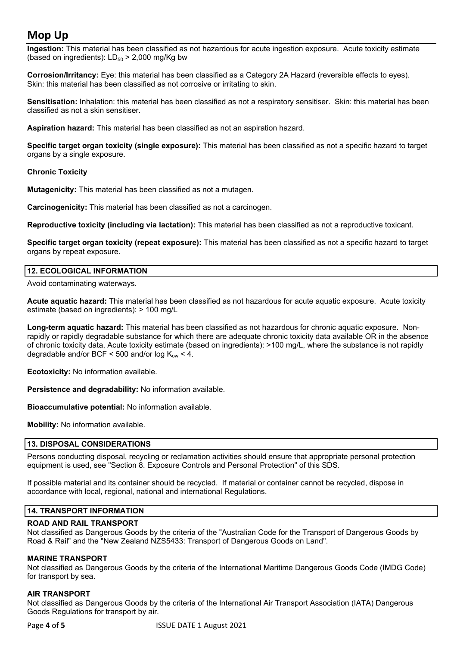**Ingestion:** This material has been classified as not hazardous for acute ingestion exposure. Acute toxicity estimate (based on ingredients):  $LD_{50}$  > 2,000 mg/Kg bw

**Corrosion/Irritancy:** Eye: this material has been classified as a Category 2A Hazard (reversible effects to eyes). Skin: this material has been classified as not corrosive or irritating to skin.

**Sensitisation:** Inhalation: this material has been classified as not a respiratory sensitiser. Skin: this material has been classified as not a skin sensitiser.

**Aspiration hazard:** This material has been classified as not an aspiration hazard.

**Specific target organ toxicity (single exposure):** This material has been classified as not a specific hazard to target organs by a single exposure.

### **Chronic Toxicity**

**Mutagenicity:** This material has been classified as not a mutagen.

**Carcinogenicity:** This material has been classified as not a carcinogen.

**Reproductive toxicity (including via lactation):** This material has been classified as not a reproductive toxicant.

**Specific target organ toxicity (repeat exposure):** This material has been classified as not a specific hazard to target organs by repeat exposure.

### **12. ECOLOGICAL INFORMATION**

Avoid contaminating waterways.

**Acute aquatic hazard:** This material has been classified as not hazardous for acute aquatic exposure. Acute toxicity estimate (based on ingredients): > 100 mg/L

**Long-term aquatic hazard:** This material has been classified as not hazardous for chronic aquatic exposure. Nonrapidly or rapidly degradable substance for which there are adequate chronic toxicity data available OR in the absence of chronic toxicity data, Acute toxicity estimate (based on ingredients): >100 mg/L, where the substance is not rapidly degradable and/or BCF < 500 and/or log  $K_{ow}$  < 4.

**Ecotoxicity:** No information available.

**Persistence and degradability:** No information available.

**Bioaccumulative potential:** No information available.

**Mobility:** No information available.

### **13. DISPOSAL CONSIDERATIONS**

Persons conducting disposal, recycling or reclamation activities should ensure that appropriate personal protection equipment is used, see "Section 8. Exposure Controls and Personal Protection" of this SDS.

If possible material and its container should be recycled. If material or container cannot be recycled, dispose in accordance with local, regional, national and international Regulations.

### **14. TRANSPORT INFORMATION**

### **ROAD AND RAIL TRANSPORT**

Not classified as Dangerous Goods by the criteria of the "Australian Code for the Transport of Dangerous Goods by Road & Rail" and the "New Zealand NZS5433: Transport of Dangerous Goods on Land".

### **MARINE TRANSPORT**

Not classified as Dangerous Goods by the criteria of the International Maritime Dangerous Goods Code (IMDG Code) for transport by sea.

### **AIR TRANSPORT**

Not classified as Dangerous Goods by the criteria of the International Air Transport Association (IATA) Dangerous Goods Regulations for transport by air.